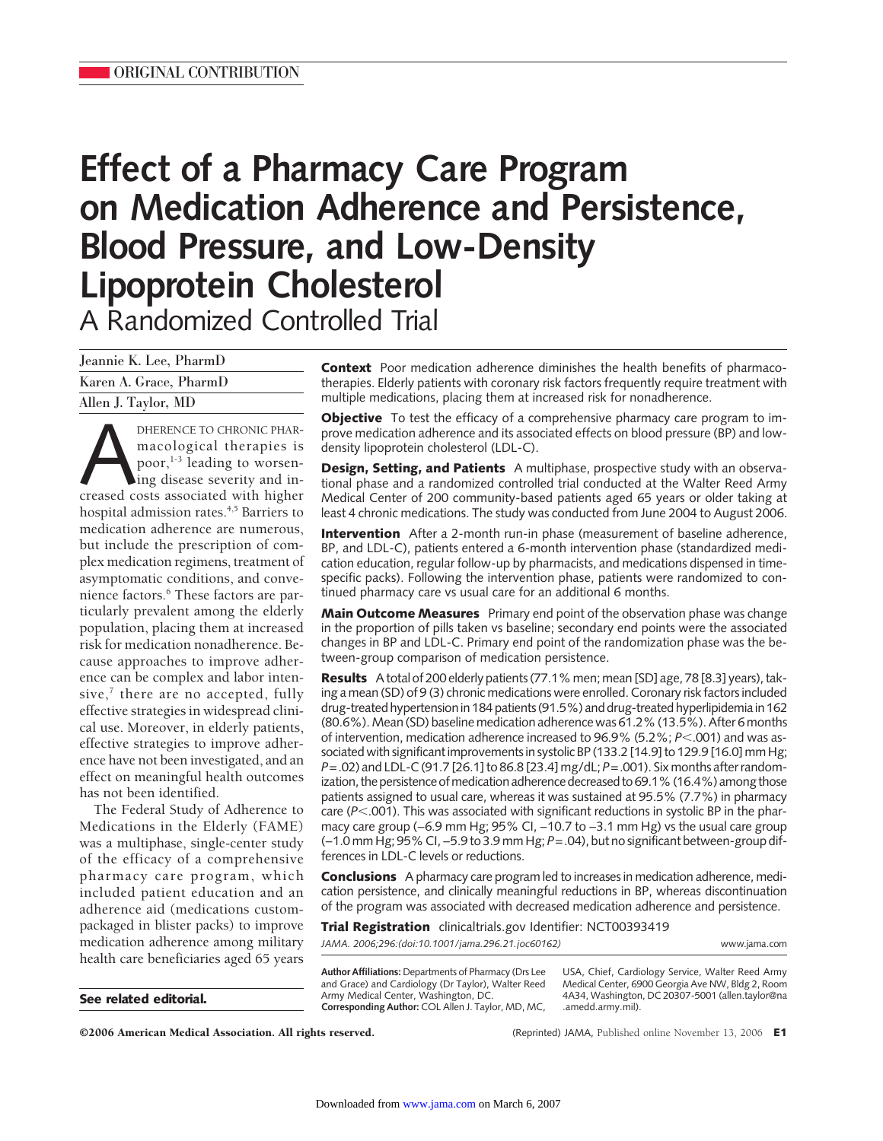# **Effect of a Pharmacy Care Program on Medication Adherence and Persistence, Blood Pressure, and Low-Density Lipoprotein Cholesterol** A Randomized Controlled Trial

| Jeannie K. Lee, PharmD |
|------------------------|
| Karen A. Grace, PharmD |
| Allen J. Taylor, MD    |

**ANDERENCE TO CHRONIC PHAR-**<br>
macological therapies is<br>
poor,<sup>1-3</sup> leading to worsen-<br>
ing disease severity and in-<br>
creased costs associated with higher macological therapies is poor, $1-3$  leading to worsening disease severity and inhospital admission rates.<sup>4,5</sup> Barriers to medication adherence are numerous, but include the prescription of complex medication regimens, treatment of asymptomatic conditions, and convenience factors.<sup>6</sup> These factors are particularly prevalent among the elderly population, placing them at increased risk for medication nonadherence. Because approaches to improve adherence can be complex and labor intensive, $<sup>7</sup>$  there are no accepted, fully</sup> effective strategies in widespread clinical use. Moreover, in elderly patients, effective strategies to improve adherence have not been investigated, and an effect on meaningful health outcomes has not been identified.

The Federal Study of Adherence to Medications in the Elderly (FAME) was a multiphase, single-center study of the efficacy of a comprehensive pharmacy care program, which included patient education and an adherence aid (medications custompackaged in blister packs) to improve medication adherence among military health care beneficiaries aged 65 years

**See related editorial.**

**Context** Poor medication adherence diminishes the health benefits of pharmacotherapies. Elderly patients with coronary risk factors frequently require treatment with multiple medications, placing them at increased risk for nonadherence.

**Objective** To test the efficacy of a comprehensive pharmacy care program to improve medication adherence and its associated effects on blood pressure (BP) and lowdensity lipoprotein cholesterol (LDL-C).

**Design, Setting, and Patients** A multiphase, prospective study with an observational phase and a randomized controlled trial conducted at the Walter Reed Army Medical Center of 200 community-based patients aged 65 years or older taking at least 4 chronic medications. The study was conducted from June 2004 to August 2006.

**Intervention** After a 2-month run-in phase (measurement of baseline adherence, BP, and LDL-C), patients entered a 6-month intervention phase (standardized medication education, regular follow-up by pharmacists, and medications dispensed in timespecific packs). Following the intervention phase, patients were randomized to continued pharmacy care vs usual care for an additional 6 months.

**Main Outcome Measures** Primary end point of the observation phase was change in the proportion of pills taken vs baseline; secondary end points were the associated changes in BP and LDL-C. Primary end point of the randomization phase was the between-group comparison of medication persistence.

**Results** A total of 200 elderly patients (77.1% men; mean [SD] age, 78 [8.3] years), taking a mean (SD) of 9 (3) chronic medications were enrolled. Coronary risk factors included drug-treated hypertension in 184 patients (91.5%) and drug-treated hyperlipidemia in 162 (80.6%). Mean (SD) baseline medication adherence was 61.2% (13.5%). After 6 months of intervention, medication adherence increased to 96.9% (5.2%; *P*<.001) and was associated with significant improvements in systolic BP (133.2 [14.9] to 129.9 [16.0] mm Hg; *P*=.02) and LDL-C (91.7 [26.1] to 86.8 [23.4] mg/dL; *P*=.001). Six months after randomization, the persistence of medication adherence decreased to 69.1% (16.4%) among those patients assigned to usual care, whereas it was sustained at 95.5% (7.7%) in pharmacy care (*P*<.001). This was associated with significant reductions in systolic BP in the pharmacy care group (−6.9 mm Hg; 95% CI, −10.7 to −3.1 mm Hg) vs the usual care group (−1.0 mm Hg; 95% CI, −5.9 to 3.9 mm Hg; *P*=.04), but no significant between-group differences in LDL-C levels or reductions.

**Conclusions** A pharmacy care program led to increases in medication adherence, medication persistence, and clinically meaningful reductions in BP, whereas discontinuation of the program was associated with decreased medication adherence and persistence.

**Trial Registration** clinicaltrials.gov Identifier: NCT00393419

*JAMA. 2006;296:(doi:10.1001/jama.296.21.joc60162)* www.jama.com

**Author Affiliations:** Departments of Pharmacy (Drs Lee and Grace) and Cardiology (Dr Taylor), Walter Reed Army Medical Center, Washington, DC. **Corresponding Author:** COL Allen J. Taylor, MD, MC,

USA, Chief, Cardiology Service, Walter Reed Army Medical Center, 6900 Georgia Ave NW, Bldg 2, Room 4A34, Washington, DC 20307-5001 (allen.taylor@na .amedd.army.mil).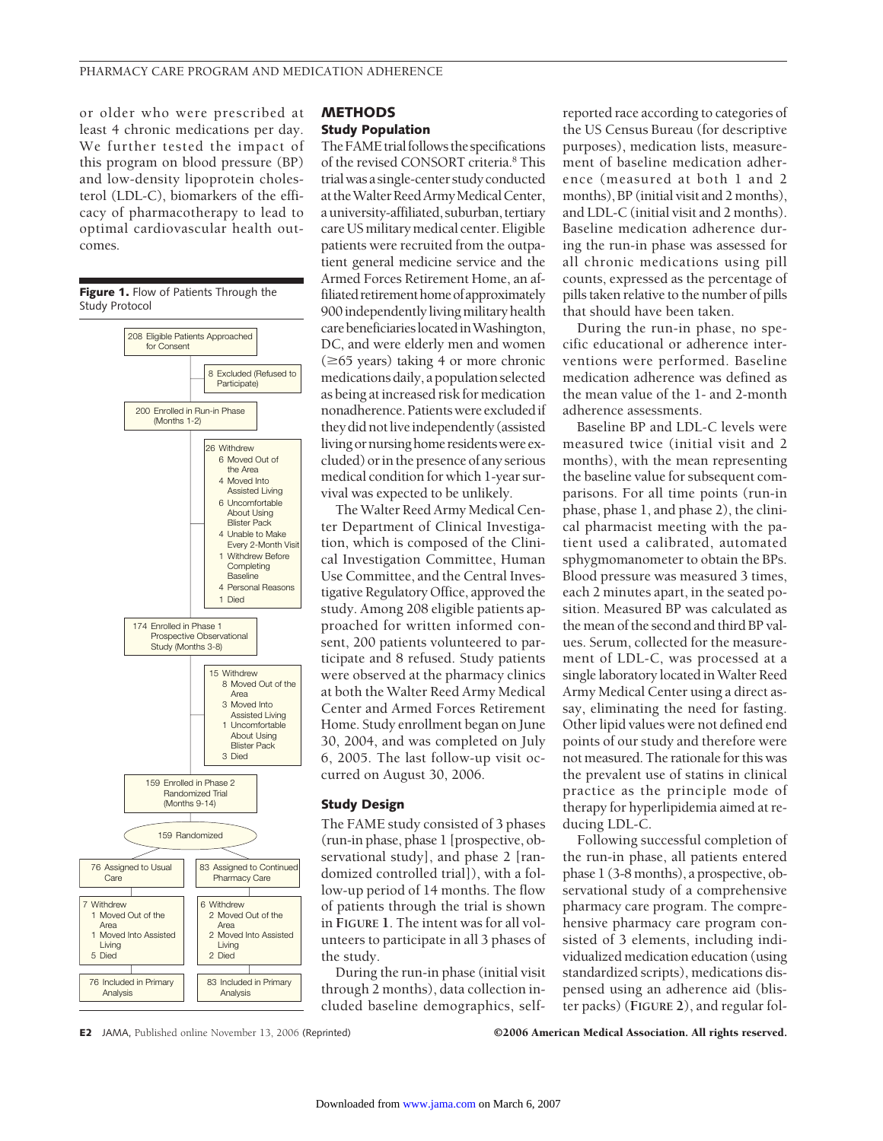or older who were prescribed at least 4 chronic medications per day. We further tested the impact of this program on blood pressure (BP) and low-density lipoprotein cholesterol (LDL-C), biomarkers of the efficacy of pharmacotherapy to lead to optimal cardiovascular health outcomes.



## **METHODS Study Population**

The FAME trial follows the specifications of the revised CONSORT criteria.<sup>8</sup> This trialwasasingle-centerstudyconducted at the Walter Reed Army Medical Center, a university-affiliated, suburban, tertiary care US military medical center. Eligible patients were recruited from the outpatient general medicine service and the Armed Forces Retirement Home, an affiliated retirement home of approximately 900independentlylivingmilitaryhealth carebeneficiarieslocatedinWashington, DC, and were elderly men and women  $(\geq 65$  years) taking 4 or more chronic medicationsdaily,apopulationselected as being at increased risk for medication nonadherence. Patients were excluded if they did not live independently (assisted living or nursing home residents were excluded) or in the presence of any serious medical condition for which 1-year survival was expected to be unlikely.

The Walter Reed Army Medical Center Department of Clinical Investigation, which is composed of the Clinical Investigation Committee, Human Use Committee, and the Central Investigative Regulatory Office, approved the study. Among 208 eligible patients approached for written informed consent, 200 patients volunteered to participate and 8 refused. Study patients were observed at the pharmacy clinics at both the Walter Reed Army Medical Center and Armed Forces Retirement Home. Study enrollment began on June 30, 2004, and was completed on July 6, 2005. The last follow-up visit occurred on August 30, 2006.

## **Study Design**

The FAME study consisted of 3 phases (run-in phase, phase 1 [prospective, observational study], and phase 2 [randomized controlled trial]), with a follow-up period of 14 months. The flow of patients through the trial is shown in **FIGURE 1**. The intent was for all volunteers to participate in all 3 phases of the study.

During the run-in phase (initial visit through 2 months), data collection included baseline demographics, self-

reported race according to categories of the US Census Bureau (for descriptive purposes), medication lists, measurement of baseline medication adherence (measured at both 1 and 2 months), BP (initial visit and 2 months), and LDL-C (initial visit and 2 months). Baseline medication adherence during the run-in phase was assessed for all chronic medications using pill counts, expressed as the percentage of pills taken relative to the number of pills that should have been taken.

During the run-in phase, no specific educational or adherence interventions were performed. Baseline medication adherence was defined as the mean value of the 1- and 2-month adherence assessments.

Baseline BP and LDL-C levels were measured twice (initial visit and 2 months), with the mean representing the baseline value for subsequent comparisons. For all time points (run-in phase, phase 1, and phase 2), the clinical pharmacist meeting with the patient used a calibrated, automated sphygmomanometer to obtain the BPs. Blood pressure was measured 3 times, each 2 minutes apart, in the seated position. Measured BP was calculated as the mean of the second and third BP values. Serum, collected for the measurement of LDL-C, was processed at a single laboratory located in Walter Reed Army Medical Center using a direct assay, eliminating the need for fasting. Other lipid values were not defined end points of our study and therefore were not measured. The rationale for this was the prevalent use of statins in clinical practice as the principle mode of therapy for hyperlipidemia aimed at reducing LDL-C.

Following successful completion of the run-in phase, all patients entered phase 1 (3-8 months), a prospective, observational study of a comprehensive pharmacy care program. The comprehensive pharmacy care program consisted of 3 elements, including individualized medication education (using standardized scripts), medications dispensed using an adherence aid (blister packs) (**FIGURE 2**), and regular fol-

**E2** JAMA, Published online November 13, 2006 (Reprinted) ©2006 American Medical Association. All rights reserved.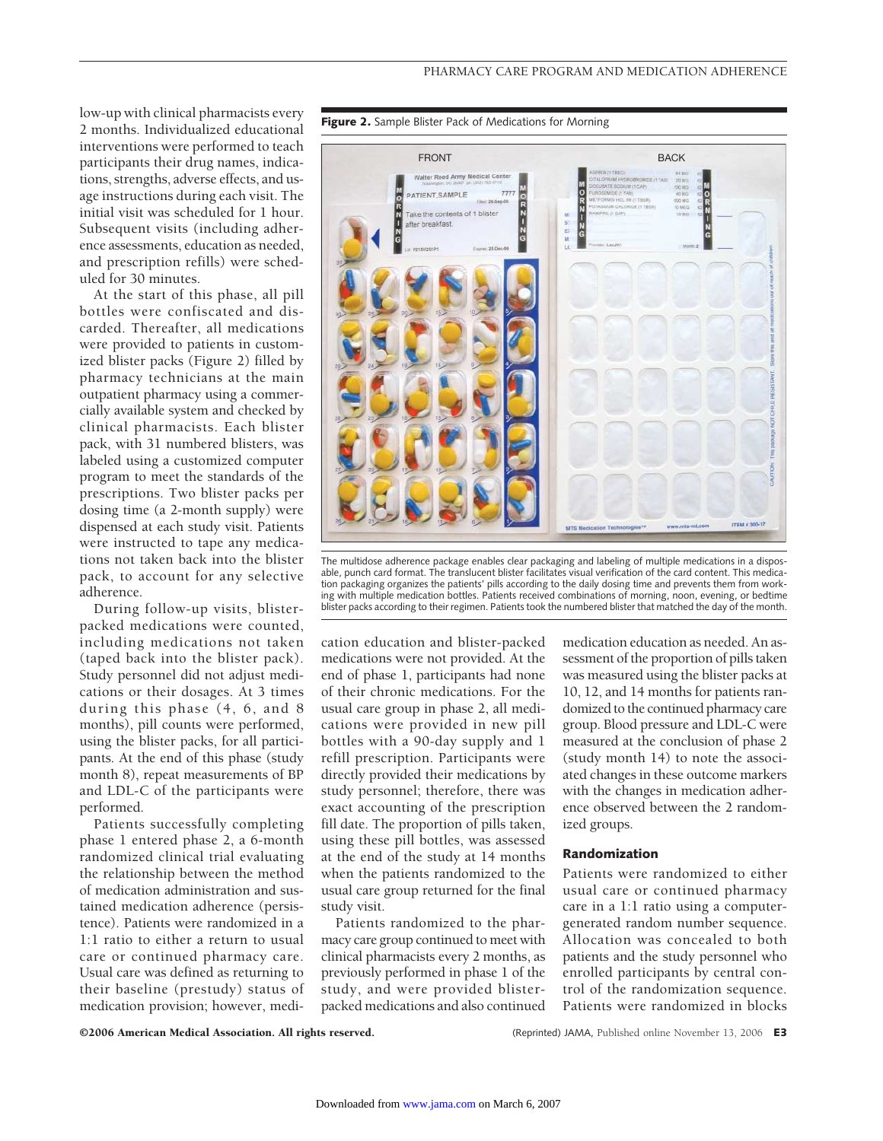

At the start of this phase, all pill bottles were confiscated and discarded. Thereafter, all medications were provided to patients in customized blister packs (Figure 2) filled by pharmacy technicians at the main outpatient pharmacy using a commercially available system and checked by clinical pharmacists. Each blister pack, with 31 numbered blisters, was labeled using a customized computer program to meet the standards of the prescriptions. Two blister packs per dosing time (a 2-month supply) were dispensed at each study visit. Patients were instructed to tape any medications not taken back into the blister pack, to account for any selective adherence.

During follow-up visits, blisterpacked medications were counted, including medications not taken (taped back into the blister pack). Study personnel did not adjust medications or their dosages. At 3 times during this phase (4, 6, and 8 months), pill counts were performed, using the blister packs, for all participants. At the end of this phase (study month 8), repeat measurements of BP and LDL-C of the participants were performed.

Patients successfully completing phase 1 entered phase 2, a 6-month randomized clinical trial evaluating the relationship between the method of medication administration and sustained medication adherence (persistence). Patients were randomized in a 1:1 ratio to either a return to usual care or continued pharmacy care. Usual care was defined as returning to their baseline (prestudy) status of medication provision; however, medi-





The multidose adherence package enables clear packaging and labeling of multiple medications in a disposable, punch card format. The translucent blister facilitates visual verification of the card content. This medication packaging organizes the patients' pills according to the daily dosing time and prevents them from working with multiple medication bottles. Patients received combinations of morning, noon, evening, or bedtime blister packs according to their regimen. Patients took the numbered blister that matched the day of the month.

cation education and blister-packed medications were not provided. At the end of phase 1, participants had none of their chronic medications. For the usual care group in phase 2, all medications were provided in new pill bottles with a 90-day supply and 1 refill prescription. Participants were directly provided their medications by study personnel; therefore, there was exact accounting of the prescription fill date. The proportion of pills taken, using these pill bottles, was assessed at the end of the study at 14 months when the patients randomized to the usual care group returned for the final study visit.

Patients randomized to the pharmacy care group continued to meet with clinical pharmacists every 2 months, as previously performed in phase 1 of the study, and were provided blisterpacked medications and also continued

medication education as needed. An assessment of the proportion of pills taken was measured using the blister packs at 10, 12, and 14 months for patients randomized to the continued pharmacy care group. Blood pressure and LDL-C were measured at the conclusion of phase 2 (study month 14) to note the associated changes in these outcome markers with the changes in medication adherence observed between the 2 randomized groups.

## **Randomization**

Patients were randomized to either usual care or continued pharmacy care in a 1:1 ratio using a computergenerated random number sequence. Allocation was concealed to both patients and the study personnel who enrolled participants by central control of the randomization sequence. Patients were randomized in blocks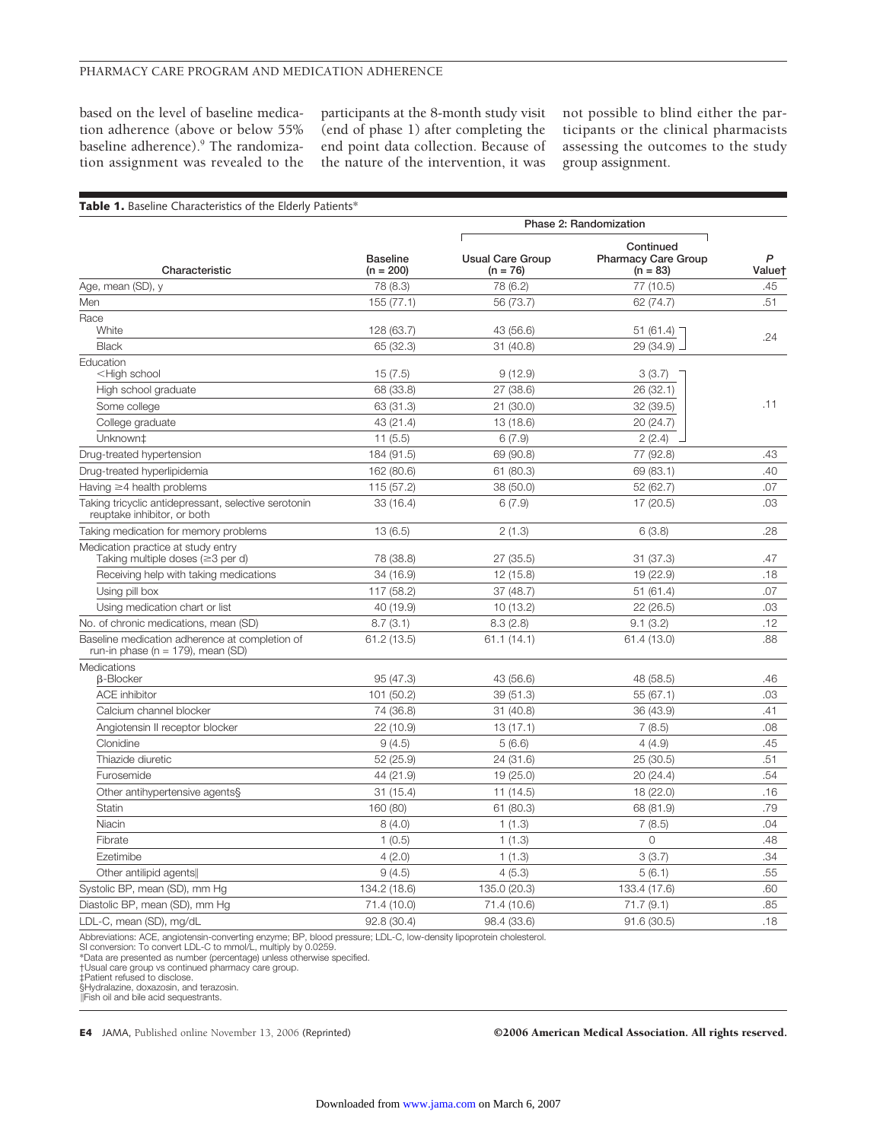## PHARMACY CARE PROGRAM AND MEDICATION ADHERENCE

based on the level of baseline medication adherence (above or below 55% baseline adherence).<sup>9</sup> The randomization assignment was revealed to the participants at the 8-month study visit (end of phase 1) after completing the end point data collection. Because of the nature of the intervention, it was

not possible to blind either the participants or the clinical pharmacists assessing the outcomes to the study group assignment.

| Characteristic                                                                                      | <b>Baseline</b><br>$(n = 200)$ | Phase 2: Randomization                |                                                       |             |
|-----------------------------------------------------------------------------------------------------|--------------------------------|---------------------------------------|-------------------------------------------------------|-------------|
|                                                                                                     |                                | <b>Usual Care Group</b><br>$(n = 76)$ | Continued<br><b>Pharmacy Care Group</b><br>$(n = 83)$ | P<br>Value† |
| Age, mean (SD), y                                                                                   | 78 (8.3)                       | 78 (6.2)                              | 77 (10.5)                                             | .45         |
| Men                                                                                                 | 155(77.1)                      | 56 (73.7)                             | 62 (74.7)                                             | .51         |
| Race                                                                                                |                                |                                       |                                                       |             |
| White                                                                                               | 128 (63.7)                     | 43 (56.6)                             | 51 (61.4)                                             | .24         |
| <b>Black</b>                                                                                        | 65 (32.3)                      | 31(40.8)                              | 29 (34.9)                                             |             |
| Education<br><high school<="" td=""><td>15(7.5)</td><td>9(12.9)</td><td>3(3.7)</td><td></td></high> | 15(7.5)                        | 9(12.9)                               | 3(3.7)                                                |             |
| High school graduate                                                                                | 68 (33.8)                      | 27 (38.6)                             | 26 (32.1)                                             |             |
| Some college                                                                                        | 63 (31.3)                      | 21(30.0)                              | 32 (39.5)                                             | .11         |
| College graduate                                                                                    | 43 (21.4)                      | 13 (18.6)                             | 20 (24.7)                                             |             |
| Unknown <sup>+</sup>                                                                                | 11(5.5)                        | 6(7.9)                                | 2(2.4)                                                |             |
| Drug-treated hypertension                                                                           | 184 (91.5)                     | 69 (90.8)                             | 77 (92.8)                                             | .43         |
| Drug-treated hyperlipidemia                                                                         | 162 (80.6)                     | 61 (80.3)                             | 69 (83.1)                                             | .40         |
| Having $\geq$ 4 health problems                                                                     | 115 (57.2)                     | 38 (50.0)                             | 52 (62.7)                                             | .07         |
| Taking tricyclic antidepressant, selective serotonin<br>reuptake inhibitor, or both                 | 33 (16.4)                      | 6(7.9)                                | 17 (20.5)                                             | .03         |
| Taking medication for memory problems                                                               | 13(6.5)                        | 2(1.3)                                | 6(3.8)                                                | .28         |
| Medication practice at study entry<br>Taking multiple doses ( $\geq$ 3 per d)                       | 78 (38.8)                      | 27(35.5)                              | 31(37.3)                                              | .47         |
| Receiving help with taking medications                                                              | 34 (16.9)                      | 12 (15.8)                             | 19 (22.9)                                             | .18         |
| Using pill box                                                                                      | 117 (58.2)                     | 37 (48.7)                             | 51(61.4)                                              | .07         |
| Using medication chart or list                                                                      | 40 (19.9)                      | 10(13.2)                              | 22(26.5)                                              | .03         |
| No. of chronic medications, mean (SD)                                                               | 8.7(3.1)                       | 8.3(2.8)                              | 9.1(3.2)                                              | .12         |
| Baseline medication adherence at completion of<br>run-in phase ( $n = 179$ ), mean (SD)             | 61.2 (13.5)                    | 61.1(14.1)                            | 61.4 (13.0)                                           | .88         |
| Medications<br><b>B-Blocker</b>                                                                     | 95 (47.3)                      | 43 (56.6)                             | 48 (58.5)                                             | .46         |
| <b>ACE</b> inhibitor                                                                                | 101 (50.2)                     | 39 (51.3)                             | 55 (67.1)                                             | .03         |
| Calcium channel blocker                                                                             | 74 (36.8)                      | 31(40.8)                              | 36 (43.9)                                             | .41         |
| Angiotensin II receptor blocker                                                                     | 22 (10.9)                      | 13(17.1)                              | 7(8.5)                                                | .08         |
| Clonidine                                                                                           | 9(4.5)                         | 5(6.6)                                | 4(4.9)                                                | .45         |
| Thiazide diuretic                                                                                   | 52 (25.9)                      | 24 (31.6)                             | 25(30.5)                                              | .51         |
| Furosemide                                                                                          | 44 (21.9)                      | 19 (25.0)                             | 20 (24.4)                                             | .54         |
| Other antihypertensive agents§                                                                      | 31 (15.4)                      | 11(14.5)                              | 18 (22.0)                                             | .16         |
| <b>Statin</b>                                                                                       | 160 (80)                       | 61 (80.3)                             | 68 (81.9)                                             | .79         |
| Niacin                                                                                              | 8(4.0)                         | 1(1.3)                                | 7(8.5)                                                | .04         |
| Fibrate                                                                                             | 1(0.5)                         | 1(1.3)                                | $\circ$                                               | .48         |
| Ezetimibe                                                                                           | 4(2.0)                         | 1(1.3)                                | 3(3.7)                                                | .34         |
| Other antilipid agents                                                                              | 9(4.5)                         | 4(5.3)                                | 5(6.1)                                                | .55         |
| Systolic BP, mean (SD), mm Hg                                                                       | 134.2 (18.6)                   | 135.0 (20.3)                          | 133.4 (17.6)                                          | .60         |
| Diastolic BP, mean (SD), mm Hg                                                                      | 71.4 (10.0)                    | 71.4 (10.6)                           | 71.7(9.1)                                             | .85         |
| LDL-C, mean (SD), mg/dL                                                                             | 92.8 (30.4)                    | 98.4 (33.6)                           | 91.6(30.5)                                            | .18         |

Abbreviations: ACE, angiotensin-converting enzyme; BP, blood pressure; LDL-C, low-density lipoprotein cholesterol.<br>SI conversion: To convert LDL-C to mmol/L, multiply by 0.0259.<br>\*Data are presented as number (percentage) u

†Usual care group vs continued pharmacy care group. ‡Patient refused to disclose.

§Hydralazine, doxazosin, and terazosin. Fish oil and bile acid sequestrants.

**E4** JAMA, Published online November 13, 2006 (Reprinted) ©2006 American Medical Association. All rights reserved.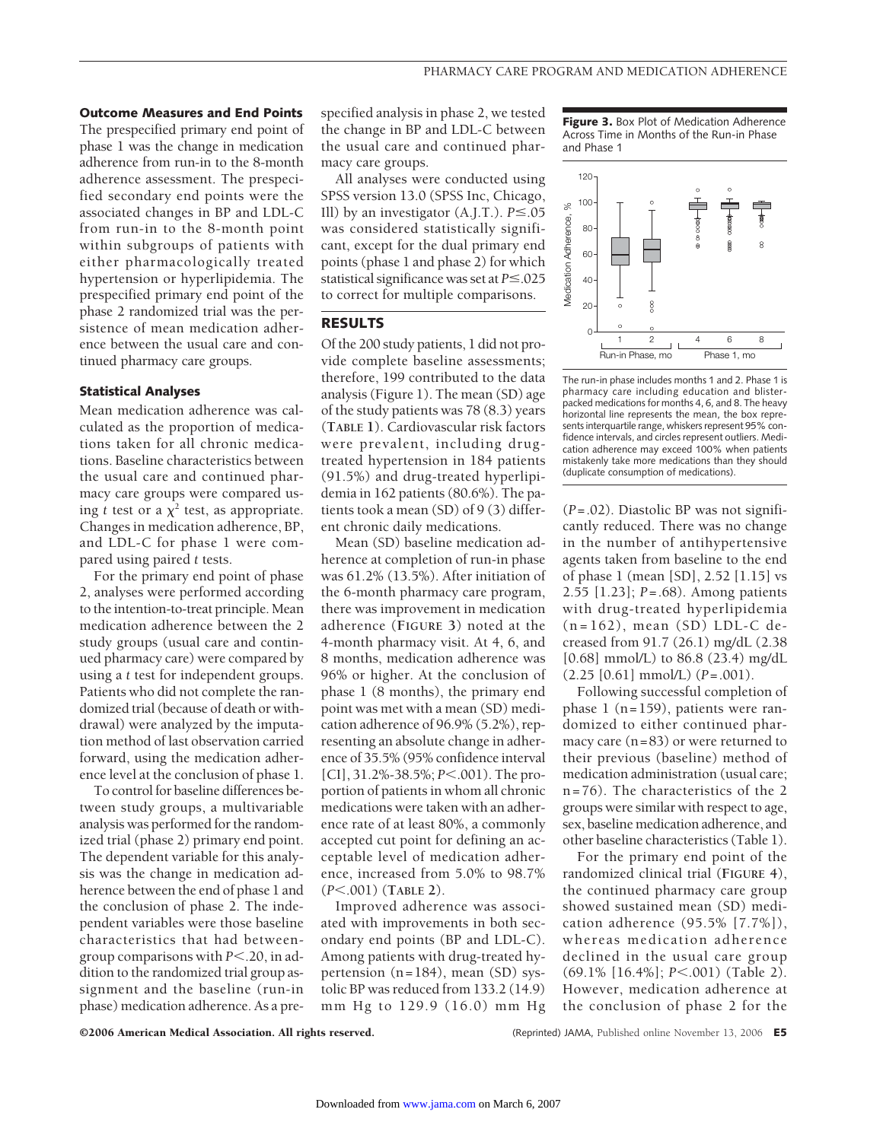**Outcome Measures and End Points** The prespecified primary end point of phase 1 was the change in medication adherence from run-in to the 8-month adherence assessment. The prespecified secondary end points were the associated changes in BP and LDL-C from run-in to the 8-month point within subgroups of patients with either pharmacologically treated hypertension or hyperlipidemia. The prespecified primary end point of the phase 2 randomized trial was the persistence of mean medication adherence between the usual care and continued pharmacy care groups.

#### **Statistical Analyses**

Mean medication adherence was calculated as the proportion of medications taken for all chronic medications. Baseline characteristics between the usual care and continued pharmacy care groups were compared using *t* test or a  $\chi^2$  test, as appropriate. Changes in medication adherence, BP, and LDL-C for phase 1 were compared using paired *t* tests.

For the primary end point of phase 2, analyses were performed according to the intention-to-treat principle. Mean medication adherence between the 2 study groups (usual care and continued pharmacy care) were compared by using a *t* test for independent groups. Patients who did not complete the randomized trial (because of death or withdrawal) were analyzed by the imputation method of last observation carried forward, using the medication adherence level at the conclusion of phase 1.

To control for baseline differences between study groups, a multivariable analysis was performed for the randomized trial (phase 2) primary end point. The dependent variable for this analysis was the change in medication adherence between the end of phase 1 and the conclusion of phase 2. The independent variables were those baseline characteristics that had betweengroup comparisons with  $P< 0.20$ , in addition to the randomized trial group assignment and the baseline (run-in phase) medication adherence. As a prespecified analysis in phase 2, we tested the change in BP and LDL-C between the usual care and continued pharmacy care groups.

All analyses were conducted using SPSS version 13.0 (SPSS Inc, Chicago, Ill) by an investigator  $(A,I.T.)$ .  $P \le 0.05$ was considered statistically significant, except for the dual primary end points (phase 1 and phase 2) for which statistical significance was set at  $P \le 0.025$ to correct for multiple comparisons.

## **RESULTS**

Of the 200 study patients, 1 did not provide complete baseline assessments; therefore, 199 contributed to the data analysis (Figure 1). The mean (SD) age of the study patients was 78 (8.3) years (**TABLE 1**). Cardiovascular risk factors were prevalent, including drugtreated hypertension in 184 patients (91.5%) and drug-treated hyperlipidemia in 162 patients (80.6%). The patients took a mean (SD) of 9 (3) different chronic daily medications.

Mean (SD) baseline medication adherence at completion of run-in phase was 61.2% (13.5%). After initiation of the 6-month pharmacy care program, there was improvement in medication adherence (**FIGURE 3**) noted at the 4-month pharmacy visit. At 4, 6, and 8 months, medication adherence was 96% or higher. At the conclusion of phase 1 (8 months), the primary end point was met with a mean (SD) medication adherence of 96.9% (5.2%), representing an absolute change in adherence of 35.5% (95% confidence interval [CI], 31.2%-38.5%; *P*<.001). The proportion of patients in whom all chronic medications were taken with an adherence rate of at least 80%, a commonly accepted cut point for defining an acceptable level of medication adherence, increased from 5.0% to 98.7% (*P*.001) (**TABLE 2**).

Improved adherence was associated with improvements in both secondary end points (BP and LDL-C). Among patients with drug-treated hypertension (n=184), mean (SD) systolic BP was reduced from 133.2 (14.9) mm Hg to 129.9 (16.0) mm Hg

**Figure 3.** Box Plot of Medication Adherence Across Time in Months of the Run-in Phase and Phase 1



The run-in phase includes months 1 and 2. Phase 1 is pharmacy care including education and blisterpacked medications for months 4, 6, and 8. The heavy horizontal line represents the mean, the box represents interquartile range, whiskers represent 95% confidence intervals, and circles represent outliers. Medication adherence may exceed 100% when patients mistakenly take more medications than they should (duplicate consumption of medications).

(*P*=.02). Diastolic BP was not significantly reduced. There was no change in the number of antihypertensive agents taken from baseline to the end of phase 1 (mean [SD], 2.52 [1.15] vs 2.55 [1.23]; *P*=.68). Among patients with drug-treated hyperlipidemia (n=162), mean (SD) LDL-C decreased from 91.7 (26.1) mg/dL (2.38 [0.68] mmol/L) to 86.8 (23.4) mg/dL (2.25 [0.61] mmol/L) (*P*=.001).

Following successful completion of phase 1 (n=159), patients were randomized to either continued pharmacy care (n=83) or were returned to their previous (baseline) method of medication administration (usual care; n=76). The characteristics of the 2 groups were similar with respect to age, sex, baseline medication adherence, and other baseline characteristics (Table 1).

For the primary end point of the randomized clinical trial (**FIGURE 4**), the continued pharmacy care group showed sustained mean (SD) medication adherence (95.5% [7.7%]), whereas medication adherence declined in the usual care group (69.1% [16.4%]; *P*<.001) (Table 2). However, medication adherence at the conclusion of phase 2 for the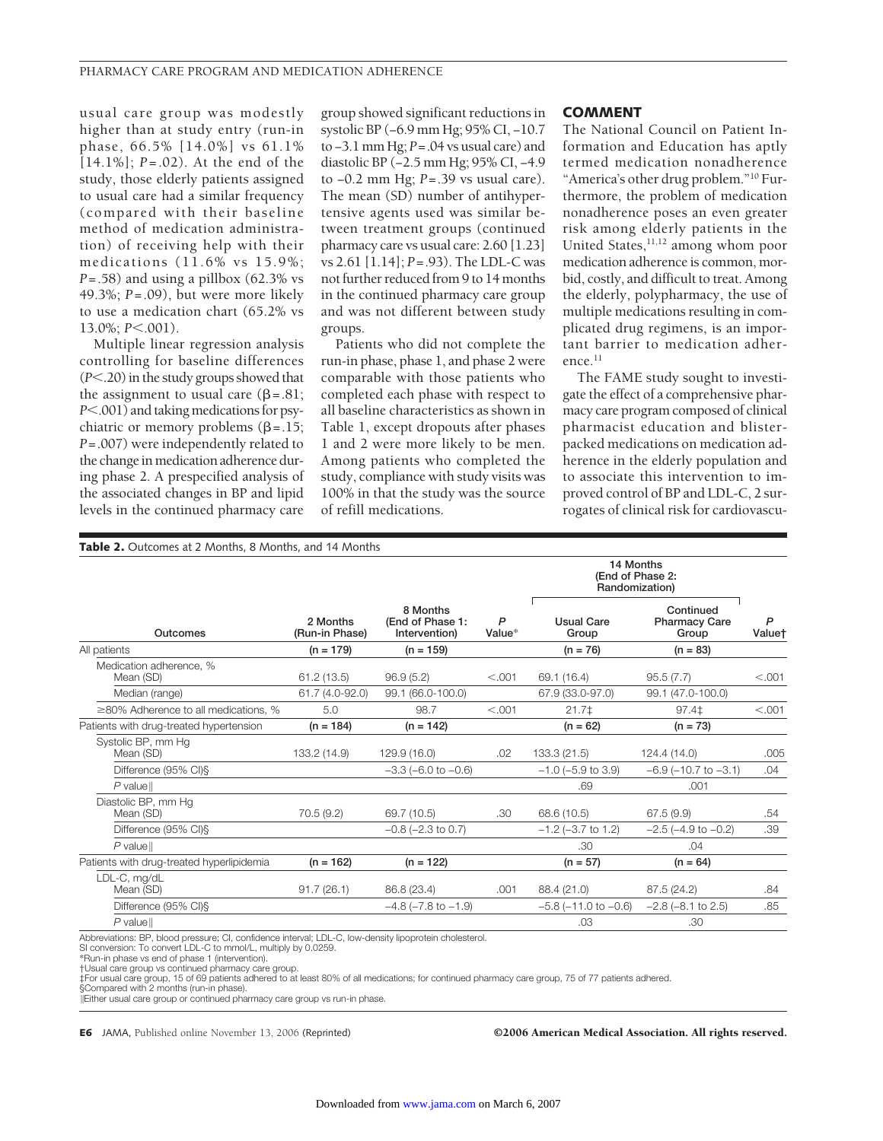usual care group was modestly higher than at study entry (run-in phase, 66.5% [14.0%] vs 61.1% [14.1%]; *P*=.02). At the end of the study, those elderly patients assigned to usual care had a similar frequency (compared with their baseline method of medication administration) of receiving help with their medications (11.6% vs 15.9%; *P*=.58) and using a pillbox (62.3% vs 49.3%; *P*=.09), but were more likely to use a medication chart (65.2% vs 13.0%; *P*<.001).

Multiple linear regression analysis controlling for baseline differences (*P*.20) in the study groups showed that the assignment to usual care  $(\beta = .81)$ ; *P*.001) and taking medications for psychiatric or memory problems  $(\beta = .15)$ ; *P*=.007) were independently related to the change in medication adherence during phase 2. A prespecified analysis of the associated changes in BP and lipid levels in the continued pharmacy care

group showed significant reductions in systolic BP (−6.9 mm Hg; 95% CI, −10.7 to −3.1 mm Hg; *P*=.04 vs usual care) and diastolic BP (−2.5 mm Hg; 95% CI, −4.9 to −0.2 mm Hg; *P*=.39 vs usual care). The mean (SD) number of antihypertensive agents used was similar between treatment groups (continued pharmacy care vs usual care: 2.60 [1.23] vs 2.61 [1.14]; *P*=.93). The LDL-C was not further reduced from 9 to 14 months in the continued pharmacy care group and was not different between study groups.

Patients who did not complete the run-in phase, phase 1, and phase 2 were comparable with those patients who completed each phase with respect to all baseline characteristics as shown in Table 1, except dropouts after phases 1 and 2 were more likely to be men. Among patients who completed the study, compliance with study visits was 100% in that the study was the source of refill medications.

#### **COMMENT**

The National Council on Patient Information and Education has aptly termed medication nonadherence "America's other drug problem."10 Furthermore, the problem of medication nonadherence poses an even greater risk among elderly patients in the United States, $11,12$  among whom poor medication adherence is common, morbid, costly, and difficult to treat. Among the elderly, polypharmacy, the use of multiple medications resulting in complicated drug regimens, is an important barrier to medication adherence.11

The FAME study sought to investigate the effect of a comprehensive pharmacy care program composed of clinical pharmacist education and blisterpacked medications on medication adherence in the elderly population and to associate this intervention to improved control of BP and LDL-C, 2 surrogates of clinical risk for cardiovascu-

| 14 Months                                                                                                                                                                          |             |
|------------------------------------------------------------------------------------------------------------------------------------------------------------------------------------|-------------|
| (End of Phase 2:<br>Randomization)                                                                                                                                                 |             |
| 8 Months<br>Continued<br>(End of Phase 1:<br>P<br><b>Usual Care</b><br>2 Months<br><b>Pharmacy Care</b><br>Outcomes<br>(Run-in Phase)<br>Value*<br>Intervention)<br>Group<br>Group | P<br>Valuet |
| All patients<br>$(n = 179)$<br>$(n = 159)$<br>$(n = 76)$<br>$(n = 83)$                                                                                                             |             |
| Medication adherence, %<br>61.2(13.5)<br>96.9(5.2)<br>< 0.001<br>69.1 (16.4)<br>95.5(7.7)<br>Mean (SD)                                                                             | < 0.001     |
| 99.1 (66.0-100.0)<br>Median (range)<br>61.7 (4.0-92.0)<br>67.9 (33.0-97.0)<br>99.1 (47.0-100.0)                                                                                    |             |
| $\geq$ 80% Adherence to all medications. %<br>5.0<br>98.7<br>< 0.001<br>$21.7+$<br>$97.4{\pm}$                                                                                     | < 0.001     |
| Patients with drug-treated hypertension<br>$(n = 184)$<br>$(n = 142)$<br>$(n = 62)$<br>$(n = 73)$                                                                                  |             |
| Systolic BP, mm Hq<br>Mean (SD)<br>133.2 (14.9)<br>129.9 (16.0)<br>.02<br>133.3 (21.5)<br>124.4 (14.0)                                                                             | .005        |
| Difference (95% CI)§<br>$-3.3$ (-6.0 to $-0.6$ )<br>$-1.0$ ( $-5.9$ to 3.9)<br>$-6.9$ ( $-10.7$ to $-3.1$ )                                                                        | .04         |
| $P$ valuell<br>.69<br>.001                                                                                                                                                         |             |
| Diastolic BP, mm Hq<br>70.5 (9.2)<br>69.7 (10.5)<br>68.6 (10.5)<br>67.5(9.9)<br>Mean (SD)<br>.30                                                                                   | .54         |
| $-0.8$ ( $-2.3$ to 0.7)<br>$-2.5$ ( $-4.9$ to $-0.2$ )<br>Difference (95% CI)§<br>$-1.2$ ( $-3.7$ to 1.2)                                                                          | .39         |
| $P$ valuell<br>.30<br>.04                                                                                                                                                          |             |
| Patients with drug-treated hyperlipidemia<br>$(n = 162)$<br>$(n = 122)$<br>$(n = 57)$<br>$(n = 64)$                                                                                |             |
| LDL-C, mg/dL<br>Mean (SD)<br>91.7(26.1)<br>86.8 (23.4)<br>.001<br>88.4 (21.0)<br>87.5 (24.2)                                                                                       | .84         |
| Difference (95% CI) §<br>$-4.8$ ( $-7.8$ to $-1.9$ )<br>$-5.8$ ( $-11.0$ to $-0.6$ )<br>$-2.8$ ( $-8.1$ to 2.5)                                                                    | .85         |
| $P$ value $\parallel$<br>.03<br>.30                                                                                                                                                |             |

Abbreviations: BP, blood pressure; CI, confidence interval; LDL-C, low-density lipoprotein cholesterol.

SI conversion: To convert LDL-C to mmol/L, multiply by 0.0259.

\*Run-in phase vs end of phase 1 (intervention).

‡For usual care group, 15 of 69 patients adhered to at least 80% of all medications; for continued pharmacy care group, 75 of 77 patients adhered.

§Compared with 2 months (run-in phase). Either usual care group or continued pharmacy care group vs run-in phase.

**E6** JAMA, Published online November 13, 2006 (Reprinted) ©2006 American Medical Association. All rights reserved.

<sup>†</sup>Usual care group vs continued pharmacy care group.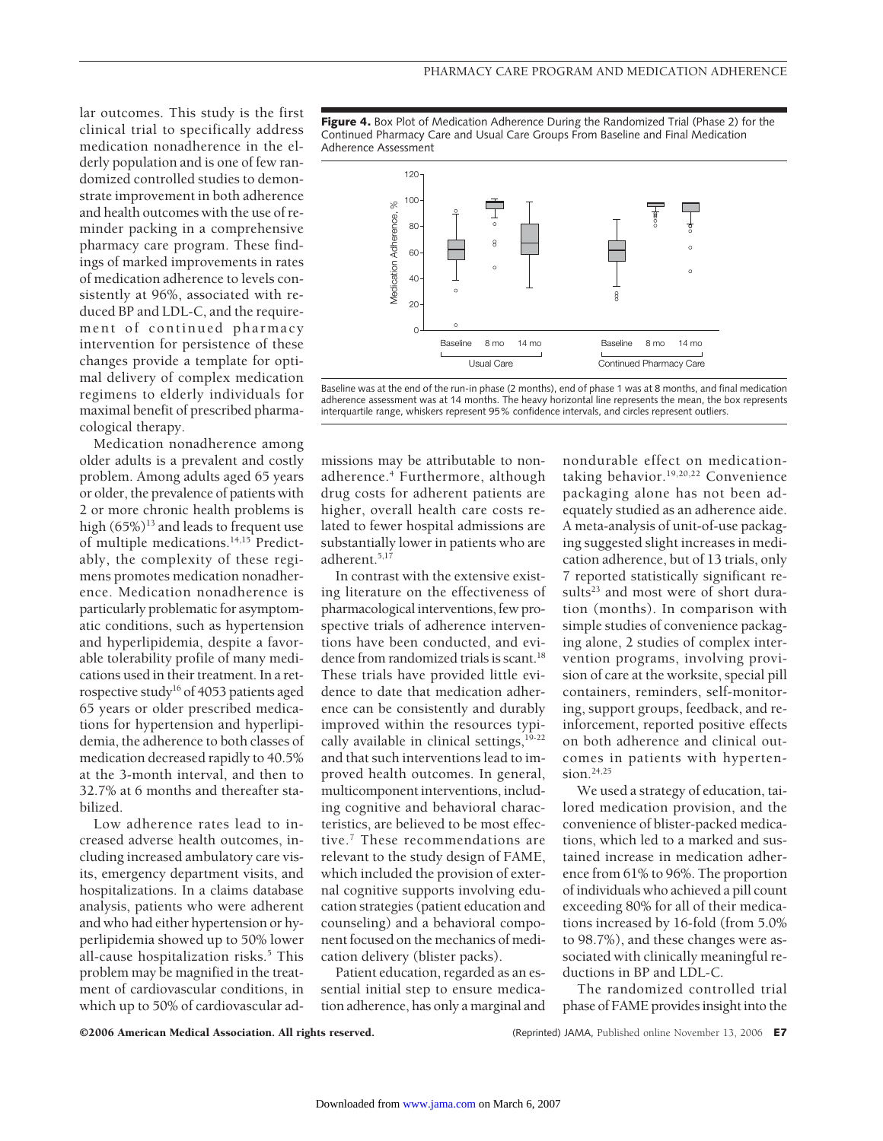lar outcomes. This study is the first clinical trial to specifically address medication nonadherence in the elderly population and is one of few randomized controlled studies to demonstrate improvement in both adherence and health outcomes with the use of reminder packing in a comprehensive pharmacy care program. These findings of marked improvements in rates of medication adherence to levels consistently at 96%, associated with reduced BP and LDL-C, and the requirement of continued pharmacy intervention for persistence of these changes provide a template for optimal delivery of complex medication regimens to elderly individuals for maximal benefit of prescribed pharmacological therapy.

Medication nonadherence among older adults is a prevalent and costly problem. Among adults aged 65 years or older, the prevalence of patients with 2 or more chronic health problems is high  $(65\%)^{13}$  and leads to frequent use of multiple medications.14,15 Predictably, the complexity of these regimens promotes medication nonadherence. Medication nonadherence is particularly problematic for asymptomatic conditions, such as hypertension and hyperlipidemia, despite a favorable tolerability profile of many medications used in their treatment. In a retrospective study<sup>16</sup> of 4053 patients aged 65 years or older prescribed medications for hypertension and hyperlipidemia, the adherence to both classes of medication decreased rapidly to 40.5% at the 3-month interval, and then to 32.7% at 6 months and thereafter stabilized.

Low adherence rates lead to increased adverse health outcomes, including increased ambulatory care visits, emergency department visits, and hospitalizations. In a claims database analysis, patients who were adherent and who had either hypertension or hyperlipidemia showed up to 50% lower all-cause hospitalization risks.<sup>5</sup> This problem may be magnified in the treatment of cardiovascular conditions, in which up to 50% of cardiovascular ad**Figure 4.** Box Plot of Medication Adherence During the Randomized Trial (Phase 2) for the Continued Pharmacy Care and Usual Care Groups From Baseline and Final Medication Adherence Assessment



Baseline was at the end of the run-in phase (2 months), end of phase 1 was at 8 months, and final medication adherence assessment was at 14 months. The heavy horizontal line represents the mean, the box represents interquartile range, whiskers represent 95% confidence intervals, and circles represent outliers.

missions may be attributable to nonadherence.<sup>4</sup> Furthermore, although drug costs for adherent patients are higher, overall health care costs related to fewer hospital admissions are substantially lower in patients who are adherent.5,17

In contrast with the extensive existing literature on the effectiveness of pharmacological interventions, few prospective trials of adherence interventions have been conducted, and evidence from randomized trials is scant.<sup>18</sup> These trials have provided little evidence to date that medication adherence can be consistently and durably improved within the resources typically available in clinical settings,  $19-22$ and that such interventions lead to improved health outcomes. In general, multicomponent interventions, including cognitive and behavioral characteristics, are believed to be most effective.7 These recommendations are relevant to the study design of FAME, which included the provision of external cognitive supports involving education strategies (patient education and counseling) and a behavioral component focused on the mechanics of medication delivery (blister packs).

Patient education, regarded as an essential initial step to ensure medication adherence, has only a marginal and

nondurable effect on medicationtaking behavior.19,20,22 Convenience packaging alone has not been adequately studied as an adherence aide. A meta-analysis of unit-of-use packaging suggested slight increases in medication adherence, but of 13 trials, only 7 reported statistically significant results<sup>23</sup> and most were of short duration (months). In comparison with simple studies of convenience packaging alone, 2 studies of complex intervention programs, involving provision of care at the worksite, special pill containers, reminders, self-monitoring, support groups, feedback, and reinforcement, reported positive effects on both adherence and clinical outcomes in patients with hypertension.<sup>24,25</sup>

We used a strategy of education, tailored medication provision, and the convenience of blister-packed medications, which led to a marked and sustained increase in medication adherence from 61% to 96%. The proportion of individuals who achieved a pill count exceeding 80% for all of their medications increased by 16-fold (from 5.0% to 98.7%), and these changes were associated with clinically meaningful reductions in BP and LDL-C.

The randomized controlled trial phase of FAME provides insight into the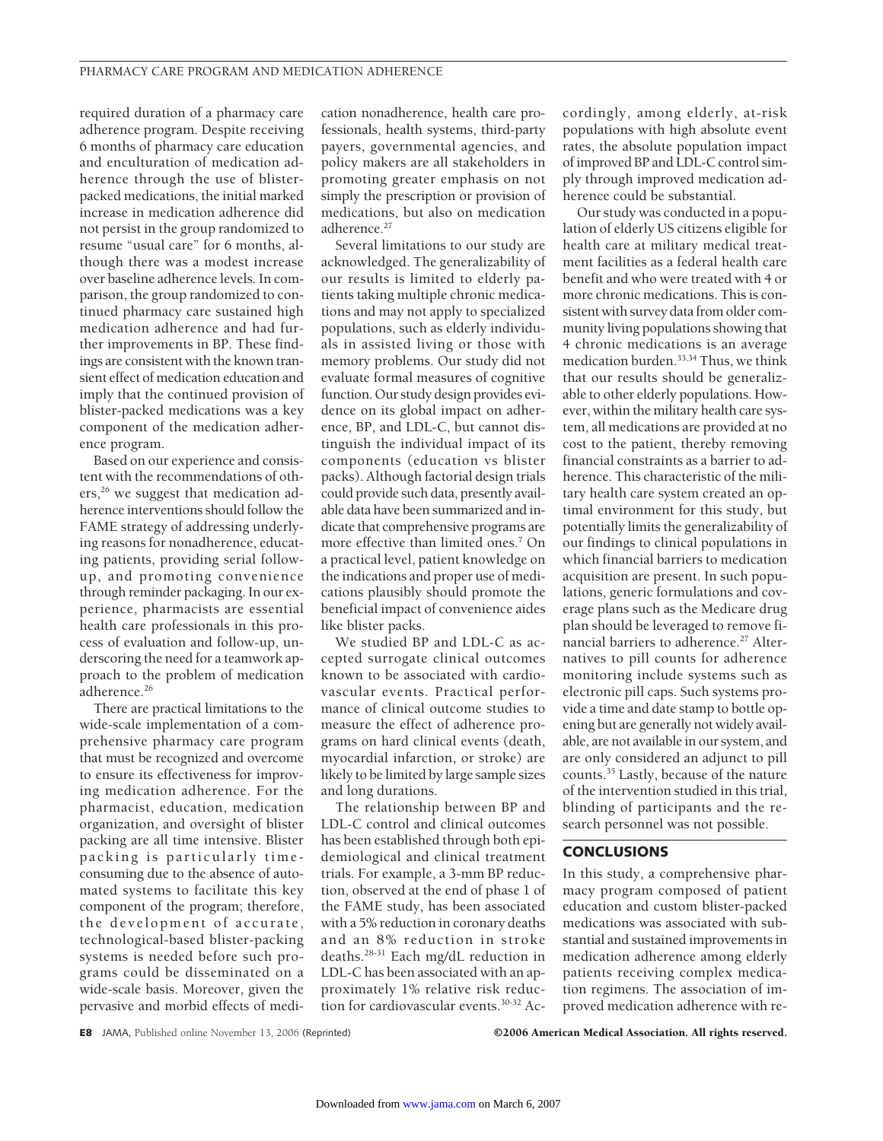required duration of a pharmacy care adherence program. Despite receiving 6 months of pharmacy care education and enculturation of medication adherence through the use of blisterpacked medications, the initial marked increase in medication adherence did not persist in the group randomized to resume "usual care" for 6 months, although there was a modest increase over baseline adherence levels. In comparison, the group randomized to continued pharmacy care sustained high medication adherence and had further improvements in BP. These findings are consistent with the known transient effect of medication education and imply that the continued provision of blister-packed medications was a key component of the medication adherence program.

Based on our experience and consistent with the recommendations of oth $ers<sub>1</sub><sup>26</sup>$  we suggest that medication adherence interventions should follow the FAME strategy of addressing underlying reasons for nonadherence, educating patients, providing serial followup, and promoting convenience through reminder packaging. In our experience, pharmacists are essential health care professionals in this process of evaluation and follow-up, underscoring the need for a teamwork approach to the problem of medication adherence.<sup>26</sup>

There are practical limitations to the wide-scale implementation of a comprehensive pharmacy care program that must be recognized and overcome to ensure its effectiveness for improving medication adherence. For the pharmacist, education, medication organization, and oversight of blister packing are all time intensive. Blister packing is particularly timeconsuming due to the absence of automated systems to facilitate this key component of the program; therefore, the development of accurate, technological-based blister-packing systems is needed before such programs could be disseminated on a wide-scale basis. Moreover, given the pervasive and morbid effects of medication nonadherence, health care professionals, health systems, third-party payers, governmental agencies, and policy makers are all stakeholders in promoting greater emphasis on not simply the prescription or provision of medications, but also on medication adherence.<sup>27</sup>

Several limitations to our study are acknowledged. The generalizability of our results is limited to elderly patients taking multiple chronic medications and may not apply to specialized populations, such as elderly individuals in assisted living or those with memory problems. Our study did not evaluate formal measures of cognitive function. Our study design provides evidence on its global impact on adherence, BP, and LDL-C, but cannot distinguish the individual impact of its components (education vs blister packs). Although factorial design trials could provide such data, presently available data have been summarized and indicate that comprehensive programs are more effective than limited ones.<sup>7</sup> On a practical level, patient knowledge on the indications and proper use of medications plausibly should promote the beneficial impact of convenience aides like blister packs.

We studied BP and LDL-C as accepted surrogate clinical outcomes known to be associated with cardiovascular events. Practical performance of clinical outcome studies to measure the effect of adherence programs on hard clinical events (death, myocardial infarction, or stroke) are likely to be limited by large sample sizes and long durations.

The relationship between BP and LDL-C control and clinical outcomes has been established through both epidemiological and clinical treatment trials. For example, a 3-mm BP reduction, observed at the end of phase 1 of the FAME study, has been associated with a 5% reduction in coronary deaths and an 8% reduction in stroke deaths.28-31 Each mg/dL reduction in LDL-C has been associated with an approximately 1% relative risk reduction for cardiovascular events.<sup>30-32</sup> Ac-

cordingly, among elderly, at-risk populations with high absolute event rates, the absolute population impact of improved BP and LDL-C control simply through improved medication adherence could be substantial.

Our study was conducted in a population of elderly US citizens eligible for health care at military medical treatment facilities as a federal health care benefit and who were treated with 4 or more chronic medications. This is consistent with survey data from older community living populations showing that 4 chronic medications is an average medication burden.33,34 Thus, we think that our results should be generalizable to other elderly populations. However, within the military health care system, all medications are provided at no cost to the patient, thereby removing financial constraints as a barrier to adherence. This characteristic of the military health care system created an optimal environment for this study, but potentially limits the generalizability of our findings to clinical populations in which financial barriers to medication acquisition are present. In such populations, generic formulations and coverage plans such as the Medicare drug plan should be leveraged to remove financial barriers to adherence.<sup>27</sup> Alternatives to pill counts for adherence monitoring include systems such as electronic pill caps. Such systems provide a time and date stamp to bottle opening but are generally not widely available, are not available in our system, and are only considered an adjunct to pill counts.35 Lastly, because of the nature of the intervention studied in this trial, blinding of participants and the research personnel was not possible.

### **CONCLUSIONS**

In this study, a comprehensive pharmacy program composed of patient education and custom blister-packed medications was associated with substantial and sustained improvements in medication adherence among elderly patients receiving complex medication regimens. The association of improved medication adherence with re-

**E8** JAMA, Published online November 13, 2006 (Reprinted) ©2006 American Medical Association. All rights reserved.